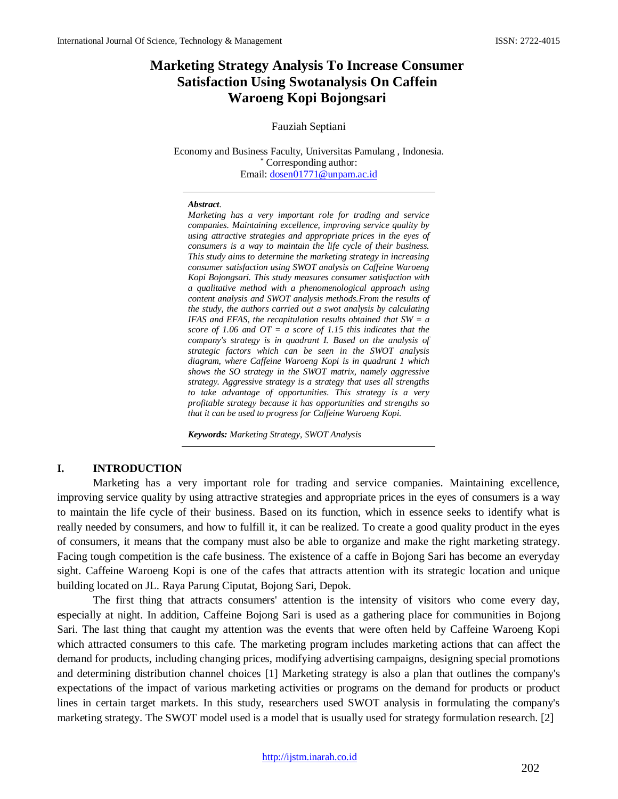# **Marketing Strategy Analysis To Increase Consumer Satisfaction Using Swotanalysis On Caffein Waroeng Kopi Bojongsari**

#### Fauziah Septiani

Economy and Business Faculty, Universitas Pamulang , Indonesia. \* Corresponding author: Email: [dosen01771@unpam.ac.id](mailto:dosen01771@unpam.ac.id)

#### *Abstract.*

*Marketing has a very important role for trading and service companies. Maintaining excellence, improving service quality by using attractive strategies and appropriate prices in the eyes of consumers is a way to maintain the life cycle of their business. This study aims to determine the marketing strategy in increasing consumer satisfaction using SWOT analysis on Caffeine Waroeng Kopi Bojongsari. This study measures consumer satisfaction with a qualitative method with a phenomenological approach using content analysis and SWOT analysis methods.From the results of the study, the authors carried out a swot analysis by calculating IFAS and EFAS, the recapitulation results obtained that SW = a score of 1.06 and OT = a score of 1.15 this indicates that the company's strategy is in quadrant I. Based on the analysis of strategic factors which can be seen in the SWOT analysis diagram, where Caffeine Waroeng Kopi is in quadrant 1 which shows the SO strategy in the SWOT matrix, namely aggressive strategy. Aggressive strategy is a strategy that uses all strengths to take advantage of opportunities. This strategy is a very profitable strategy because it has opportunities and strengths so that it can be used to progress for Caffeine Waroeng Kopi.*

*Keywords: Marketing Strategy, SWOT Analysis* 

### **I. INTRODUCTION**

Marketing has a very important role for trading and service companies. Maintaining excellence, improving service quality by using attractive strategies and appropriate prices in the eyes of consumers is a way to maintain the life cycle of their business. Based on its function, which in essence seeks to identify what is really needed by consumers, and how to fulfill it, it can be realized. To create a good quality product in the eyes of consumers, it means that the company must also be able to organize and make the right marketing strategy. Facing tough competition is the cafe business. The existence of a caffe in Bojong Sari has become an everyday sight. Caffeine Waroeng Kopi is one of the cafes that attracts attention with its strategic location and unique building located on JL. Raya Parung Ciputat, Bojong Sari, Depok.

The first thing that attracts consumers' attention is the intensity of visitors who come every day, especially at night. In addition, Caffeine Bojong Sari is used as a gathering place for communities in Bojong Sari. The last thing that caught my attention was the events that were often held by Caffeine Waroeng Kopi which attracted consumers to this cafe. The marketing program includes marketing actions that can affect the demand for products, including changing prices, modifying advertising campaigns, designing special promotions and determining distribution channel choices [1] Marketing strategy is also a plan that outlines the company's expectations of the impact of various marketing activities or programs on the demand for products or product lines in certain target markets. In this study, researchers used SWOT analysis in formulating the company's marketing strategy. The SWOT model used is a model that is usually used for strategy formulation research. [2]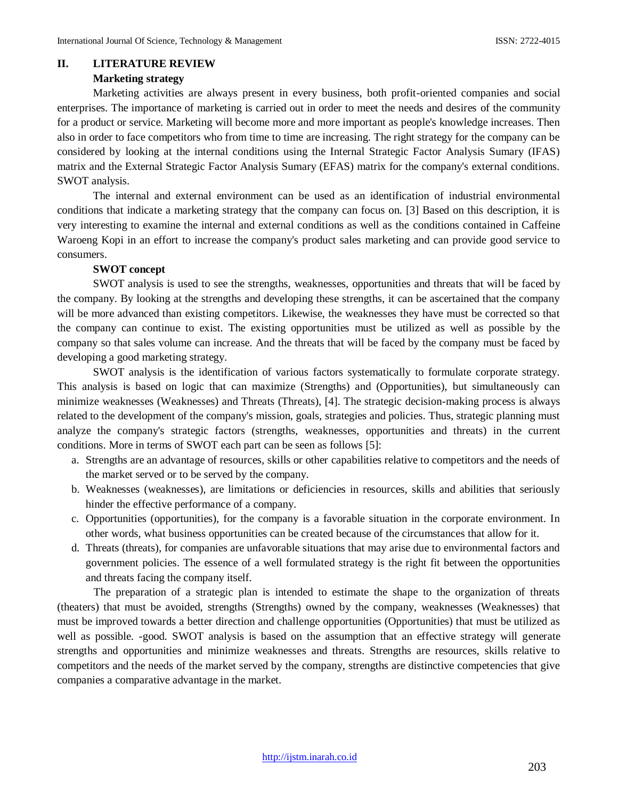#### **II. LITERATURE REVIEW**

### **Marketing strategy**

Marketing activities are always present in every business, both profit-oriented companies and social enterprises. The importance of marketing is carried out in order to meet the needs and desires of the community for a product or service. Marketing will become more and more important as people's knowledge increases. Then also in order to face competitors who from time to time are increasing. The right strategy for the company can be considered by looking at the internal conditions using the Internal Strategic Factor Analysis Sumary (IFAS) matrix and the External Strategic Factor Analysis Sumary (EFAS) matrix for the company's external conditions. SWOT analysis.

The internal and external environment can be used as an identification of industrial environmental conditions that indicate a marketing strategy that the company can focus on. [3] Based on this description, it is very interesting to examine the internal and external conditions as well as the conditions contained in Caffeine Waroeng Kopi in an effort to increase the company's product sales marketing and can provide good service to consumers.

### **SWOT concept**

SWOT analysis is used to see the strengths, weaknesses, opportunities and threats that will be faced by the company. By looking at the strengths and developing these strengths, it can be ascertained that the company will be more advanced than existing competitors. Likewise, the weaknesses they have must be corrected so that the company can continue to exist. The existing opportunities must be utilized as well as possible by the company so that sales volume can increase. And the threats that will be faced by the company must be faced by developing a good marketing strategy.

SWOT analysis is the identification of various factors systematically to formulate corporate strategy. This analysis is based on logic that can maximize (Strengths) and (Opportunities), but simultaneously can minimize weaknesses (Weaknesses) and Threats (Threats), [4]. The strategic decision-making process is always related to the development of the company's mission, goals, strategies and policies. Thus, strategic planning must analyze the company's strategic factors (strengths, weaknesses, opportunities and threats) in the current conditions. More in terms of SWOT each part can be seen as follows [5]:

- a. Strengths are an advantage of resources, skills or other capabilities relative to competitors and the needs of the market served or to be served by the company.
- b. Weaknesses (weaknesses), are limitations or deficiencies in resources, skills and abilities that seriously hinder the effective performance of a company.
- c. Opportunities (opportunities), for the company is a favorable situation in the corporate environment. In other words, what business opportunities can be created because of the circumstances that allow for it.
- d. Threats (threats), for companies are unfavorable situations that may arise due to environmental factors and government policies. The essence of a well formulated strategy is the right fit between the opportunities and threats facing the company itself.

The preparation of a strategic plan is intended to estimate the shape to the organization of threats (theaters) that must be avoided, strengths (Strengths) owned by the company, weaknesses (Weaknesses) that must be improved towards a better direction and challenge opportunities (Opportunities) that must be utilized as well as possible. -good. SWOT analysis is based on the assumption that an effective strategy will generate strengths and opportunities and minimize weaknesses and threats. Strengths are resources, skills relative to competitors and the needs of the market served by the company, strengths are distinctive competencies that give companies a comparative advantage in the market.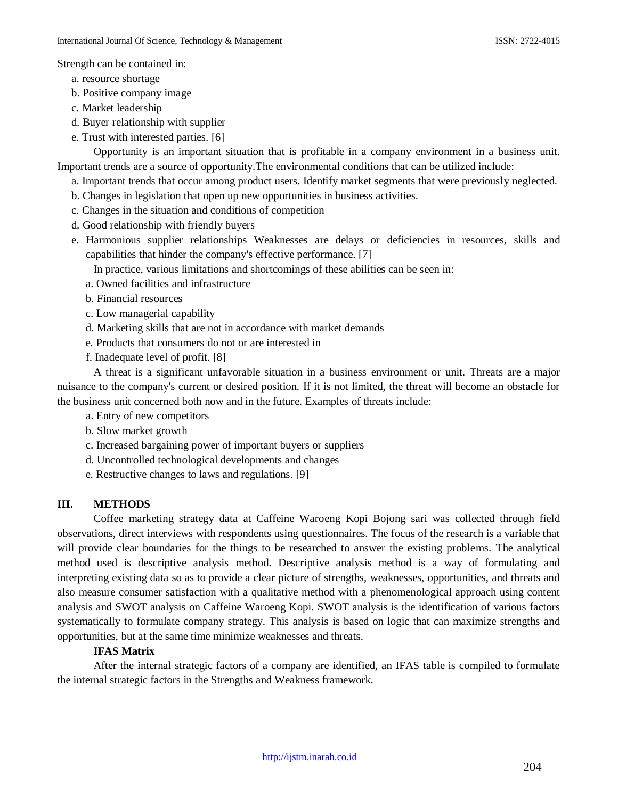Strength can be contained in:

- a. resource shortage
- b. Positive company image
- c. Market leadership
- d. Buyer relationship with supplier
- e. Trust with interested parties. [6]

Opportunity is an important situation that is profitable in a company environment in a business unit. Important trends are a source of opportunity.The environmental conditions that can be utilized include:

- a. Important trends that occur among product users. Identify market segments that were previously neglected.
- b. Changes in legislation that open up new opportunities in business activities.
- c. Changes in the situation and conditions of competition
- d. Good relationship with friendly buyers
- e. Harmonious supplier relationships Weaknesses are delays or deficiencies in resources, skills and capabilities that hinder the company's effective performance. [7]
	- In practice, various limitations and shortcomings of these abilities can be seen in:
	- a. Owned facilities and infrastructure
	- b. Financial resources
	- c. Low managerial capability
	- d. Marketing skills that are not in accordance with market demands
	- e. Products that consumers do not or are interested in
	- f. Inadequate level of profit. [8]

A threat is a significant unfavorable situation in a business environment or unit. Threats are a major nuisance to the company's current or desired position. If it is not limited, the threat will become an obstacle for the business unit concerned both now and in the future. Examples of threats include:

- a. Entry of new competitors
- b. Slow market growth
- c. Increased bargaining power of important buyers or suppliers
- d. Uncontrolled technological developments and changes
- e. Restructive changes to laws and regulations. [9]

## **III. METHODS**

Coffee marketing strategy data at Caffeine Waroeng Kopi Bojong sari was collected through field observations, direct interviews with respondents using questionnaires. The focus of the research is a variable that will provide clear boundaries for the things to be researched to answer the existing problems. The analytical method used is descriptive analysis method. Descriptive analysis method is a way of formulating and interpreting existing data so as to provide a clear picture of strengths, weaknesses, opportunities, and threats and also measure consumer satisfaction with a qualitative method with a phenomenological approach using content analysis and SWOT analysis on Caffeine Waroeng Kopi. SWOT analysis is the identification of various factors systematically to formulate company strategy. This analysis is based on logic that can maximize strengths and opportunities, but at the same time minimize weaknesses and threats.

## **IFAS Matrix**

After the internal strategic factors of a company are identified, an IFAS table is compiled to formulate the internal strategic factors in the Strengths and Weakness framework.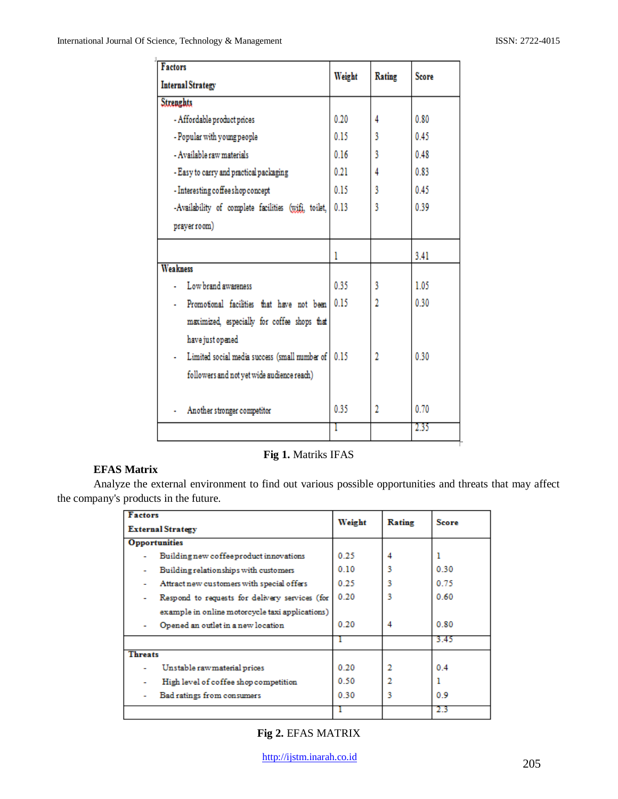| <b>Factors</b>                                           | Weight | Rating | <b>Score</b> |
|----------------------------------------------------------|--------|--------|--------------|
| <b>Internal Strategy</b>                                 |        |        |              |
| <b>Strenghts</b>                                         |        |        |              |
| - Affordable product prices                              | 0.20   | 4      | 0.80         |
| - Popular with young people                              | 0.15   | 3      | 0.45         |
| - Available raw materials                                | 0.16   | 3      | 0.48         |
| - Easy to carry and practical packaging                  | 0.21   | 4      | 0.83         |
| - Interesting coffee shop concept                        | 0.15   | 3      | 0.45         |
| -Availability of complete facilities (wift, toilet, 0.13 |        | 3      | 0.39         |
| prayer room)                                             |        |        |              |
|                                                          | 1      |        | 3.41         |
| <b>Weakness</b>                                          |        |        |              |
| Low brand awareness                                      | 0.35   | 3      | 1.05         |
| Promotional facilities that have not been 0.15           |        | 2      | 0.30         |
| maximized, especially for coffee shops that              |        |        |              |
| have just opened                                         |        |        |              |
| Limited social media success (small number of 0.15       |        | 2      | 0.30         |
| followers and not yet wide audience reach)               |        |        |              |
| Another stronger competitor                              | 0.35   | 2      | 0.70         |
|                                                          |        |        | 235          |

**Fig 1.** Matriks IFAS

## **EFAS Matrix**

Analyze the external environment to find out various possible opportunities and threats that may affect the company's products in the future.

| <b>Factors</b><br><b>External Strategy</b> |                                                 | Weight | <b>Rating</b> | Score |
|--------------------------------------------|-------------------------------------------------|--------|---------------|-------|
|                                            |                                                 |        |               |       |
| <b>Opportunities</b>                       |                                                 |        |               |       |
|                                            | Building new coffee product innovations         | 0.25   | 4             |       |
|                                            | Building relationships with customers           | 0.10   | ٩             | 0.30  |
| ۰                                          | Attract new customers with special offers       | 0.25   | 3             | 0.75  |
| ۰                                          | Respond to requests for delivery services (for  | 0.20   | 3             | 0.60  |
|                                            | example in online motorcycle taxi applications) |        |               |       |
|                                            | Opened an outlet in a new location              | 0.20   | 4             | 0.80  |
|                                            |                                                 |        |               | 3.45  |
| <b>Threats</b>                             |                                                 |        |               |       |
|                                            | Unstable rawmaterial prices                     | 0.20   | 2             | 0.4   |
|                                            | High level of coffee shop competition           | 0.50   |               |       |
|                                            | Bad ratings from consumers                      | 0.30   | ٩             | 0.9   |
|                                            |                                                 |        |               | 23    |

**Fig 2.** EFAS MATRIX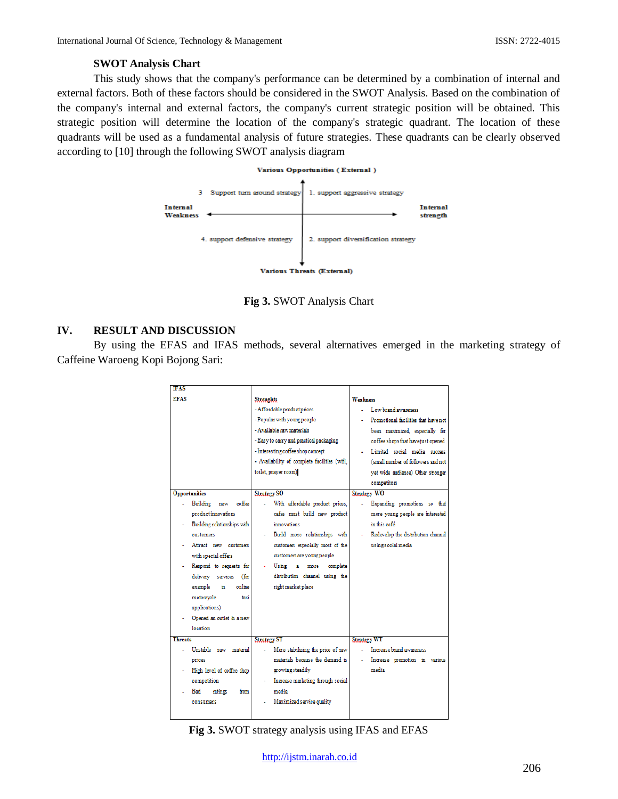### **SWOT Analysis Chart**

This study shows that the company's performance can be determined by a combination of internal and external factors. Both of these factors should be considered in the SWOT Analysis. Based on the combination of the company's internal and external factors, the company's current strategic position will be obtained. This strategic position will determine the location of the company's strategic quadrant. The location of these quadrants will be used as a fundamental analysis of future strategies. These quadrants can be clearly observed according to [10] through the following SWOT analysis diagram

#### Various Opportunities (External)



**Fig 3.** SWOT Analysis Chart

### **IV. RESULT AND DISCUSSION**

By using the EFAS and IFAS methods, several alternatives emerged in the marketing strategy of Caffeine Waroeng Kopi Bojong Sari:

| <b>IFAS</b>    |                             |                                              |                                      |
|----------------|-----------------------------|----------------------------------------------|--------------------------------------|
| <b>EFAS</b>    |                             | <b>Strenghts</b>                             | <b>Weakness</b>                      |
|                |                             | - Affordable product prices                  | Low brand awareness                  |
|                |                             | - Popular with young people                  | Promotional facilities that have not |
|                |                             | - Available raw materials                    | been maximized, especially for       |
|                |                             | - Easy to carry and practical packaging      | coffee shops that have just opened   |
|                |                             | - Interesting coffee shop concept            | Limited social media success         |
|                |                             | - Availability of complete facilities (wifi, | (small number of followers and not   |
|                |                             | toilet, prayer room)                         | vet wide audience) Other stronger    |
|                |                             |                                              | competitors                          |
|                | <b>Opportunities</b>        | <b>Strategy SO</b>                           | <b>Strategy WO</b>                   |
|                | Building<br>coffee<br>new   | With affordable product prices,              | Expanding promotions so that         |
|                | product innovations         | cafes must build new product                 | more young people are interested     |
|                | Building relationships with | innovations                                  | in this eafá                         |
|                | customers                   | Build more relationships with                | Redevelop the distribution channel   |
|                | Attract new customers       | customers especially most of the             | using social media                   |
|                | with special offers         | customers are young people                   |                                      |
|                | Respond to requests for     | Using<br>a<br>more<br>complete               |                                      |
|                | delivery services<br>(for   | distribution channel using the               |                                      |
|                | example<br>online<br>'n     | right market place                           |                                      |
|                | motorcycle<br>taxi          |                                              |                                      |
|                | applications)               |                                              |                                      |
|                | Opened an outlet in a new   |                                              |                                      |
|                | location                    |                                              |                                      |
| <b>Threats</b> |                             | <b>Strategy ST</b>                           | <b>Strategy WT</b>                   |
|                | Unstable raw material       | More stabilizing the price of raw            | Increase brand awareness             |
|                | prices                      | materials because the demand is              | Increase promotion in various        |
|                | High level of coffee shop   | growing steadily                             | media                                |
|                | competition                 | Increase marketing through social            |                                      |
|                | Bad<br>from<br>ratines      | media                                        |                                      |
|                | consumers                   | Maximized service quality                    |                                      |
|                |                             |                                              |                                      |

**Fig 3.** SWOT strategy analysis using IFAS and EFAS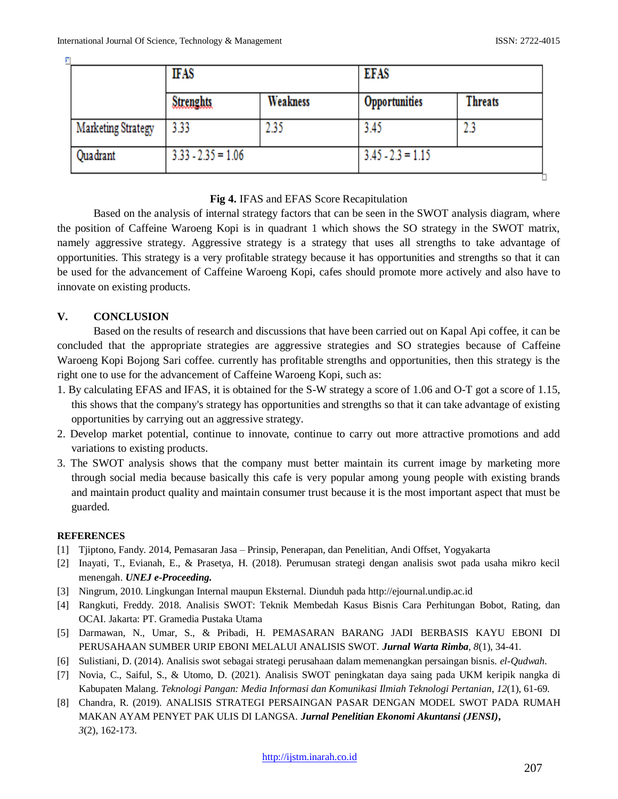| М                  | <b>IFAS</b>          |          | <b>EFAS</b>          |                |
|--------------------|----------------------|----------|----------------------|----------------|
|                    | <b>Strenghts</b>     | Weakness | <b>Opportunities</b> | <b>Threats</b> |
| Marketing Strategy | 3.33                 | 2.35     | 3.45                 | 2.3            |
| Quadrant           | $3.33 - 2.35 = 1.06$ |          | $3.45 - 2.3 = 1.15$  |                |

### **Fig 4.** IFAS and EFAS Score Recapitulation

Based on the analysis of internal strategy factors that can be seen in the SWOT analysis diagram, where the position of Caffeine Waroeng Kopi is in quadrant 1 which shows the SO strategy in the SWOT matrix, namely aggressive strategy. Aggressive strategy is a strategy that uses all strengths to take advantage of opportunities. This strategy is a very profitable strategy because it has opportunities and strengths so that it can be used for the advancement of Caffeine Waroeng Kopi, cafes should promote more actively and also have to innovate on existing products.

## **V. CONCLUSION**

Based on the results of research and discussions that have been carried out on Kapal Api coffee, it can be concluded that the appropriate strategies are aggressive strategies and SO strategies because of Caffeine Waroeng Kopi Bojong Sari coffee. currently has profitable strengths and opportunities, then this strategy is the right one to use for the advancement of Caffeine Waroeng Kopi, such as:

- 1. By calculating EFAS and IFAS, it is obtained for the S-W strategy a score of 1.06 and O-T got a score of 1.15, this shows that the company's strategy has opportunities and strengths so that it can take advantage of existing opportunities by carrying out an aggressive strategy.
- 2. Develop market potential, continue to innovate, continue to carry out more attractive promotions and add variations to existing products.
- 3. The SWOT analysis shows that the company must better maintain its current image by marketing more through social media because basically this cafe is very popular among young people with existing brands and maintain product quality and maintain consumer trust because it is the most important aspect that must be guarded.

### **REFERENCES**

- [1] Tjiptono, Fandy. 2014, Pemasaran Jasa Prinsip, Penerapan, dan Penelitian, Andi Offset, Yogyakarta
- [2] Inayati, T., Evianah, E., & Prasetya, H. (2018). Perumusan strategi dengan analisis swot pada usaha mikro kecil menengah. *UNEJ e-Proceeding***.**
- [3] Ningrum, 2010. Lingkungan Internal maupun Eksternal. Diunduh pada http://ejournal.undip.ac.id
- [4] Rangkuti, Freddy. 2018. Analisis SWOT: Teknik Membedah Kasus Bisnis Cara Perhitungan Bobot, Rating, dan OCAI. Jakarta: PT. Gramedia Pustaka Utama
- [5] Darmawan, N., Umar, S., & Pribadi, H. PEMASARAN BARANG JADI BERBASIS KAYU EBONI DI PERUSAHAAN SUMBER URIP EBONI MELALUI ANALISIS SWOT. *Jurnal Warta Rimba*, *8*(1), 34-41.
- [6] Sulistiani, D. (2014). Analisis swot sebagai strategi perusahaan dalam memenangkan persaingan bisnis. *el-Qudwah*.
- [7] Novia, C., Saiful, S., & Utomo, D. (2021). Analisis SWOT peningkatan daya saing pada UKM keripik nangka di Kabupaten Malang. *Teknologi Pangan: Media Informasi dan Komunikasi Ilmiah Teknologi Pertanian*, *12*(1), 61-69.
- [8] Chandra, R. (2019). ANALISIS STRATEGI PERSAINGAN PASAR DENGAN MODEL SWOT PADA RUMAH MAKAN AYAM PENYET PAK ULIS DI LANGSA. *Jurnal Penelitian Ekonomi Akuntansi (JENSI)***,** *3*(2), 162-173.